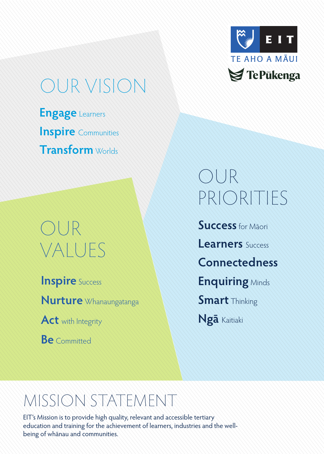

## OUR VISION

**Engage** Learners **Inspire** Communities **Transform** Worlds

### OUR VALUES

**Inspire** Success

**Nurture** Whanaungatanga

Act with Integrity

**Be** Committed

# OUR PRIORITIES

**Success**for Māori **Learners** Success **Connectedness Enquiring** Minds **Smart** Thinking **Ngā** Kaitiaki

### MISSION STATEMENT

EIT's Mission is to provide high quality, relevant and accessible tertiary education and training for the achievement of learners, industries and the wellbeing of whānau and communities.